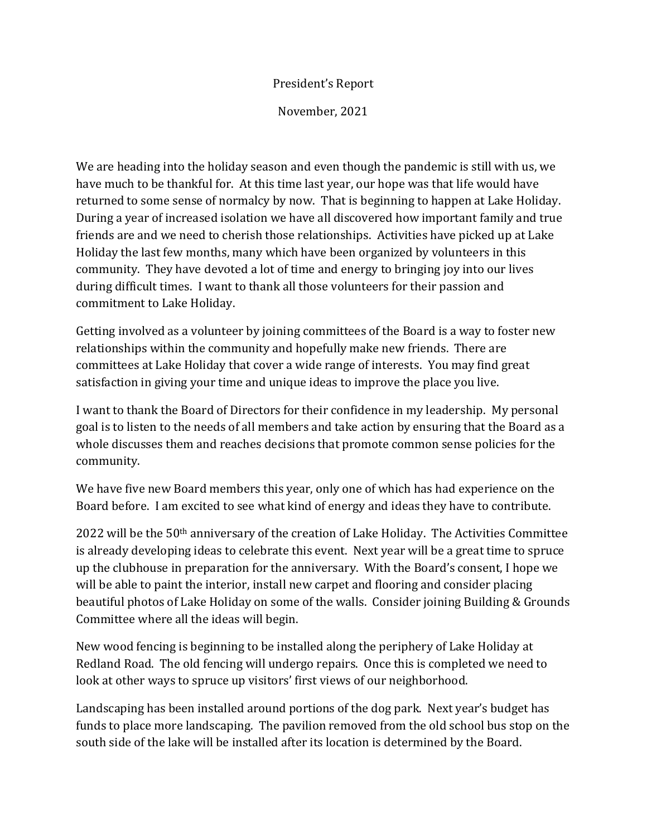## President's Report

November, 2021

We are heading into the holiday season and even though the pandemic is still with us, we have much to be thankful for. At this time last year, our hope was that life would have returned to some sense of normalcy by now. That is beginning to happen at Lake Holiday. During a year of increased isolation we have all discovered how important family and true friends are and we need to cherish those relationships. Activities have picked up at Lake Holiday the last few months, many which have been organized by volunteers in this community. They have devoted a lot of time and energy to bringing joy into our lives during difficult times. I want to thank all those volunteers for their passion and commitment to Lake Holiday.

Getting involved as a volunteer by joining committees of the Board is a way to foster new relationships within the community and hopefully make new friends. There are committees at Lake Holiday that cover a wide range of interests. You may find great satisfaction in giving your time and unique ideas to improve the place you live.

I want to thank the Board of Directors for their confidence in my leadership. My personal goal is to listen to the needs of all members and take action by ensuring that the Board as a whole discusses them and reaches decisions that promote common sense policies for the community.

We have five new Board members this year, only one of which has had experience on the Board before. I am excited to see what kind of energy and ideas they have to contribute.

2022 will be the 50th anniversary of the creation of Lake Holiday. The Activities Committee is already developing ideas to celebrate this event. Next year will be a great time to spruce up the clubhouse in preparation for the anniversary. With the Board's consent, I hope we will be able to paint the interior, install new carpet and flooring and consider placing beautiful photos of Lake Holiday on some of the walls. Consider joining Building & Grounds Committee where all the ideas will begin.

New wood fencing is beginning to be installed along the periphery of Lake Holiday at Redland Road. The old fencing will undergo repairs. Once this is completed we need to look at other ways to spruce up visitors' first views of our neighborhood.

Landscaping has been installed around portions of the dog park. Next year's budget has funds to place more landscaping. The pavilion removed from the old school bus stop on the south side of the lake will be installed after its location is determined by the Board.